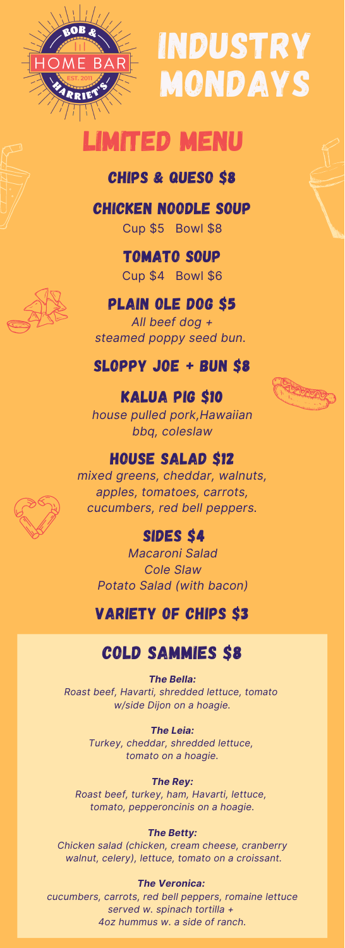

# INDUSTRY MONDAYS

## **TED MENU**

#### Chips & Queso \$8

Chicken noodle Soup

Cup \$5 Bowl \$8

tomato Soup Cup \$4 Bowl \$6

#### plain ole dog \$5

*All beef dog + steamed poppy seed bun.*

#### Sloppy joe + Bun \$8

## kalua pig \$10



#### house salad \$12

*mixed greens, cheddar, walnuts, apples, tomatoes, carrots, cucumbers, red bell peppers.*

#### SIDES \$4

*Macaroni Salad Cole Slaw Potato Salad (with bacon)*

#### variety of chips \$3

### cold sammies \$8

*The Bella: Roast beef, Havarti, shredded lettuce, tomato w/side Dijon on a hoagie.*

> *The Leia: Turkey, cheddar, shredded lettuce, tomato on a hoagie.*

*The Rey: Roast beef, turkey, ham, Havarti, lettuce, tomato, pepperoncinis on a hoagie.*

#### *The Betty:*

*Chicken salad (chicken, cream cheese, cranberry walnut, celery), lettuce, tomato on a croissant.*

*The Veronica:*

*cucumbers, carrots, red bell peppers, romaine lettuce served w. spinach tortilla + 4oz hummus w. a side of ranch.*